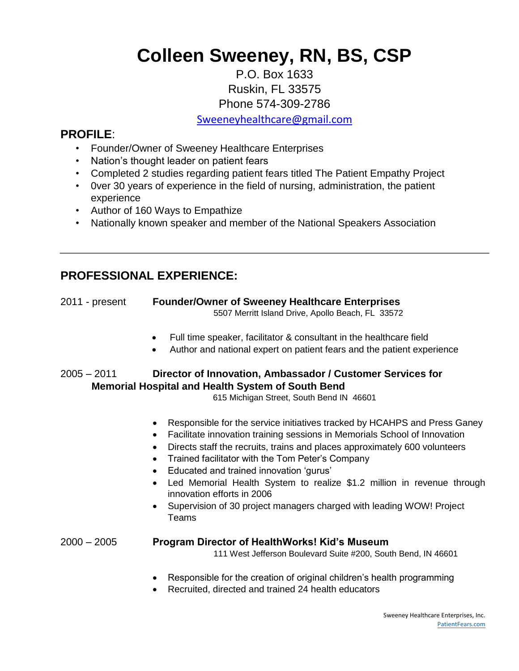# **Colleen Sweeney, RN, BS, CSP**

## P.O. Box 1633 Ruskin, FL 33575 Phone 574-309-2786

Sweeneyhealthcare@gmail.com

## **PROFILE**:

- Founder/Owner of Sweeney Healthcare Enterprises
- Nation's thought leader on patient fears
- Completed 2 studies regarding patient fears titled The Patient Empathy Project
- 0ver 30 years of experience in the field of nursing, administration, the patient experience
- Author of 160 Ways to Empathize
- Nationally known speaker and member of the National Speakers Association

# **PROFESSIONAL EXPERIENCE:**

| 2011 - present | <b>Founder/Owner of Sweeney Healthcare Enterprises</b><br>5507 Merritt Island Drive, Apollo Beach, FL 33572                                                                                                                                                                                                                                                                                                                                                                                                                               |
|----------------|-------------------------------------------------------------------------------------------------------------------------------------------------------------------------------------------------------------------------------------------------------------------------------------------------------------------------------------------------------------------------------------------------------------------------------------------------------------------------------------------------------------------------------------------|
|                | Full time speaker, facilitator & consultant in the healthcare field<br>$\bullet$<br>Author and national expert on patient fears and the patient experience<br>$\bullet$                                                                                                                                                                                                                                                                                                                                                                   |
| $2005 - 2011$  | Director of Innovation, Ambassador / Customer Services for<br><b>Memorial Hospital and Health System of South Bend</b><br>615 Michigan Street, South Bend IN 46601                                                                                                                                                                                                                                                                                                                                                                        |
|                | Responsible for the service initiatives tracked by HCAHPS and Press Ganey<br>Facilitate innovation training sessions in Memorials School of Innovation<br>Directs staff the recruits, trains and places approximately 600 volunteers<br>Trained facilitator with the Tom Peter's Company<br>$\bullet$<br>Educated and trained innovation 'gurus'<br>Led Memorial Health System to realize \$1.2 million in revenue through<br>innovation efforts in 2006<br>Supervision of 30 project managers charged with leading WOW! Project<br>Teams |
| $2000 - 2005$  | <b>Program Director of HealthWorks! Kid's Museum</b><br>111 West Jefferson Boulevard Suite #200, South Bend, IN 46601                                                                                                                                                                                                                                                                                                                                                                                                                     |

- Responsible for the creation of original children's health programming
- Recruited, directed and trained 24 health educators